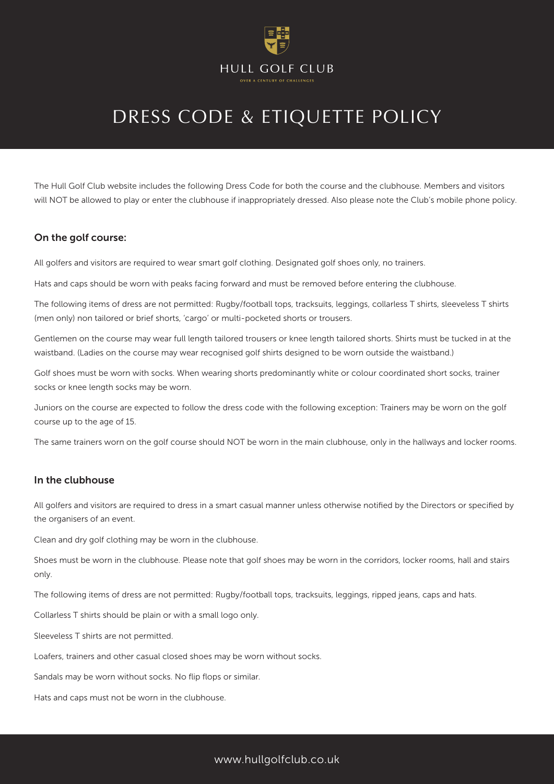

## DRESS CODE & ETIQUETTE POLICY

The Hull Golf Club website includes the following Dress Code for both the course and the clubhouse. Members and visitors will NOT be allowed to play or enter the clubhouse if inappropriately dressed. Also please note the Club's mobile phone policy.

#### On the golf course:

All golfers and visitors are required to wear smart golf clothing. Designated golf shoes only, no trainers.

Hats and caps should be worn with peaks facing forward and must be removed before entering the clubhouse.

The following items of dress are not permitted: Rugby/football tops, tracksuits, leggings, collarless T shirts, sleeveless T shirts (men only) non tailored or brief shorts, 'cargo' or multi-pocketed shorts or trousers.

Gentlemen on the course may wear full length tailored trousers or knee length tailored shorts. Shirts must be tucked in at the waistband. (Ladies on the course may wear recognised golf shirts designed to be worn outside the waistband.)

Golf shoes must be worn with socks. When wearing shorts predominantly white or colour coordinated short socks, trainer socks or knee length socks may be worn.

Juniors on the course are expected to follow the dress code with the following exception: Trainers may be worn on the golf course up to the age of 15.

The same trainers worn on the golf course should NOT be worn in the main clubhouse, only in the hallways and locker rooms.

#### In the clubhouse

All golfers and visitors are required to dress in a smart casual manner unless otherwise notified by the Directors or specified by the organisers of an event.

Clean and dry golf clothing may be worn in the clubhouse.

Shoes must be worn in the clubhouse. Please note that golf shoes may be worn in the corridors, locker rooms, hall and stairs only.

The following items of dress are not permitted: Rugby/football tops, tracksuits, leggings, ripped jeans, caps and hats.

Collarless T shirts should be plain or with a small logo only.

Sleeveless T shirts are not permitted.

Loafers, trainers and other casual closed shoes may be worn without socks.

Sandals may be worn without socks. No flip flops or similar.

Hats and caps must not be worn in the clubhouse.

## www.hullgolfclub.co.uk